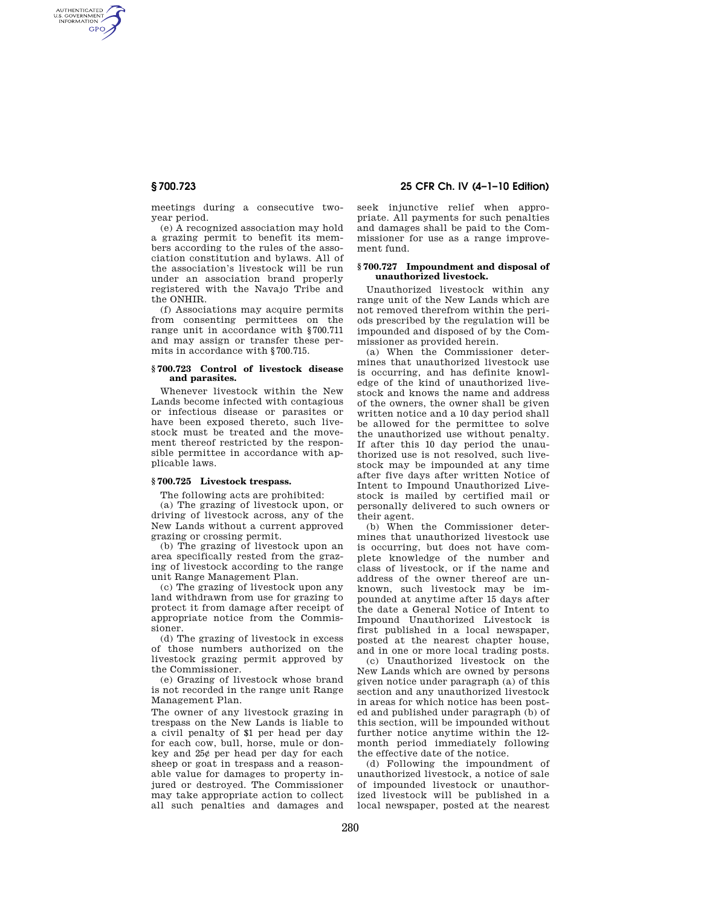AUTHENTICATED<br>U.S. GOVERNMENT<br>INFORMATION **GPO** 

> meetings during a consecutive twoyear period.

> (e) A recognized association may hold a grazing permit to benefit its members according to the rules of the association constitution and bylaws. All of the association's livestock will be run under an association brand properly registered with the Navajo Tribe and the ONHIR.

> (f) Associations may acquire permits from consenting permittees on the range unit in accordance with §700.711 and may assign or transfer these permits in accordance with §700.715.

#### **§ 700.723 Control of livestock disease and parasites.**

Whenever livestock within the New Lands become infected with contagious or infectious disease or parasites or have been exposed thereto, such livestock must be treated and the movement thereof restricted by the responsible permittee in accordance with applicable laws.

## **§ 700.725 Livestock trespass.**

The following acts are prohibited:

(a) The grazing of livestock upon, or driving of livestock across, any of the New Lands without a current approved grazing or crossing permit.

(b) The grazing of livestock upon an area specifically rested from the grazing of livestock according to the range unit Range Management Plan.

(c) The grazing of livestock upon any land withdrawn from use for grazing to protect it from damage after receipt of appropriate notice from the Commissioner.

(d) The grazing of livestock in excess of those numbers authorized on the livestock grazing permit approved by the Commissioner.

(e) Grazing of livestock whose brand is not recorded in the range unit Range Management Plan.

The owner of any livestock grazing in trespass on the New Lands is liable to a civil penalty of \$1 per head per day for each cow, bull, horse, mule or donkey and 25¢ per head per day for each sheep or goat in trespass and a reasonable value for damages to property injured or destroyed. The Commissioner may take appropriate action to collect all such penalties and damages and

# **§ 700.723 25 CFR Ch. IV (4–1–10 Edition)**

seek injunctive relief when appropriate. All payments for such penalties and damages shall be paid to the Commissioner for use as a range improvement fund.

#### **§ 700.727 Impoundment and disposal of unauthorized livestock.**

Unauthorized livestock within any range unit of the New Lands which are not removed therefrom within the periods prescribed by the regulation will be impounded and disposed of by the Commissioner as provided herein.

(a) When the Commissioner determines that unauthorized livestock use is occurring, and has definite knowledge of the kind of unauthorized livestock and knows the name and address of the owners, the owner shall be given written notice and a 10 day period shall be allowed for the permittee to solve the unauthorized use without penalty. If after this 10 day period the unauthorized use is not resolved, such livestock may be impounded at any time after five days after written Notice of Intent to Impound Unauthorized Livestock is mailed by certified mail or personally delivered to such owners or their agent.

(b) When the Commissioner determines that unauthorized livestock use is occurring, but does not have complete knowledge of the number and class of livestock, or if the name and address of the owner thereof are unknown, such livestock may be impounded at anytime after 15 days after the date a General Notice of Intent to Impound Unauthorized Livestock is first published in a local newspaper, posted at the nearest chapter house, and in one or more local trading posts.

(c) Unauthorized livestock on the New Lands which are owned by persons given notice under paragraph (a) of this section and any unauthorized livestock in areas for which notice has been posted and published under paragraph (b) of this section, will be impounded without further notice anytime within the 12 month period immediately following the effective date of the notice.

(d) Following the impoundment of unauthorized livestock, a notice of sale of impounded livestock or unauthorized livestock will be published in a local newspaper, posted at the nearest